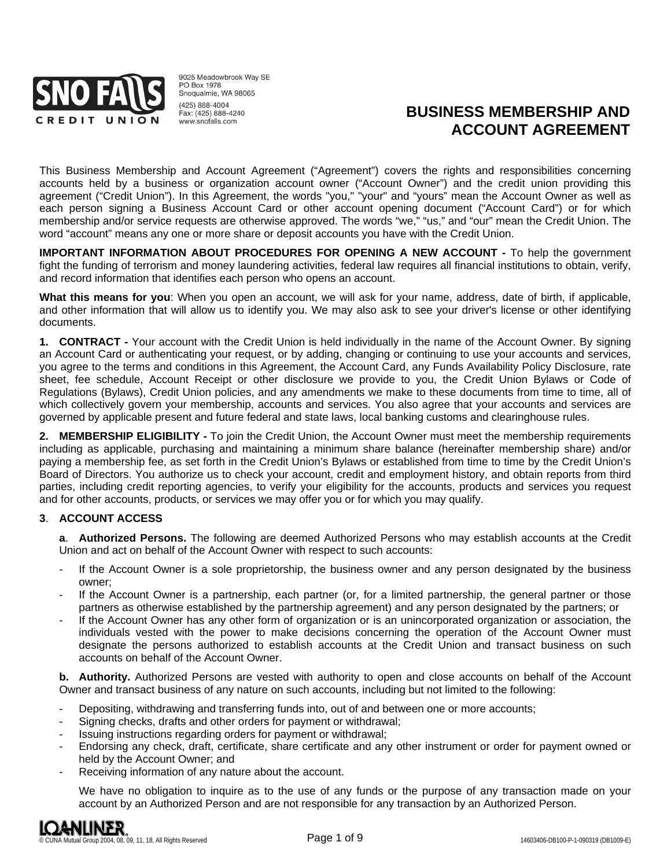

9025 Meadowbrook Way SF **PO Box 1978** Snoqualmie, WA 98065 (425) 888-4004 Fax: (425) 888-4240 www.snofalls.com

# **BUSINESS MEMBERSHIP AND ACCOUNT AGREEMENT**

This Business Membership and Account Agreement ("Agreement") covers the rights and responsibilities concerning accounts held by a business or organization account owner ("Account Owner") and the credit union providing this agreement ("Credit Union"). In this Agreement, the words "you," "your" and "yours" mean the Account Owner as well as each person signing a Business Account Card or other account opening document ("Account Card") or for which membership and/or service requests are otherwise approved. The words "we," "us," and "our" mean the Credit Union. The word "account" means any one or more share or deposit accounts you have with the Credit Union.

**IMPORTANT INFORMATION ABOUT PROCEDURES FOR OPENING A NEW ACCOUNT -** To help the government fight the funding of terrorism and money laundering activities, federal law requires all financial institutions to obtain, verify, and record information that identifies each person who opens an account.

**What this means for you**: When you open an account, we will ask for your name, address, date of birth, if applicable, and other information that will allow us to identify you. We may also ask to see your driver's license or other identifying documents.

**1. CONTRACT -** Your account with the Credit Union is held individually in the name of the Account Owner. By signing an Account Card or authenticating your request, or by adding, changing or continuing to use your accounts and services, you agree to the terms and conditions in this Agreement, the Account Card, any Funds Availability Policy Disclosure, rate sheet, fee schedule, Account Receipt or other disclosure we provide to you, the Credit Union Bylaws or Code of Regulations (Bylaws), Credit Union policies, and any amendments we make to these documents from time to time, all of which collectively govern your membership, accounts and services. You also agree that your accounts and services are governed by applicable present and future federal and state laws, local banking customs and clearinghouse rules.

**2. MEMBERSHIP ELIGIBILITY -** To join the Credit Union, the Account Owner must meet the membership requirements including as applicable, purchasing and maintaining a minimum share balance (hereinafter membership share) and/or paying a membership fee, as set forth in the Credit Union's Bylaws or established from time to time by the Credit Union's Board of Directors. You authorize us to check your account, credit and employment history, and obtain reports from third parties, including credit reporting agencies, to verify your eligibility for the accounts, products and services you request and for other accounts, products, or services we may offer you or for which you may qualify.

## **3**. **ACCOUNT ACCESS**

**a**. **Authorized Persons.** The following are deemed Authorized Persons who may establish accounts at the Credit Union and act on behalf of the Account Owner with respect to such accounts:

- If the Account Owner is a sole proprietorship, the business owner and any person designated by the business owner;
- If the Account Owner is a partnership, each partner (or, for a limited partnership, the general partner or those partners as otherwise established by the partnership agreement) and any person designated by the partners; or
- If the Account Owner has any other form of organization or is an unincorporated organization or association, the individuals vested with the power to make decisions concerning the operation of the Account Owner must designate the persons authorized to establish accounts at the Credit Union and transact business on such accounts on behalf of the Account Owner.

**b. Authority.** Authorized Persons are vested with authority to open and close accounts on behalf of the Account Owner and transact business of any nature on such accounts, including but not limited to the following:

- Depositing, withdrawing and transferring funds into, out of and between one or more accounts;
- Signing checks, drafts and other orders for payment or withdrawal;
- Issuing instructions regarding orders for payment or withdrawal;
- Endorsing any check, draft, certificate, share certificate and any other instrument or order for payment owned or held by the Account Owner; and
- Receiving information of any nature about the account.

We have no obligation to inquire as to the use of any funds or the purpose of any transaction made on your account by an Authorized Person and are not responsible for any transaction by an Authorized Person.

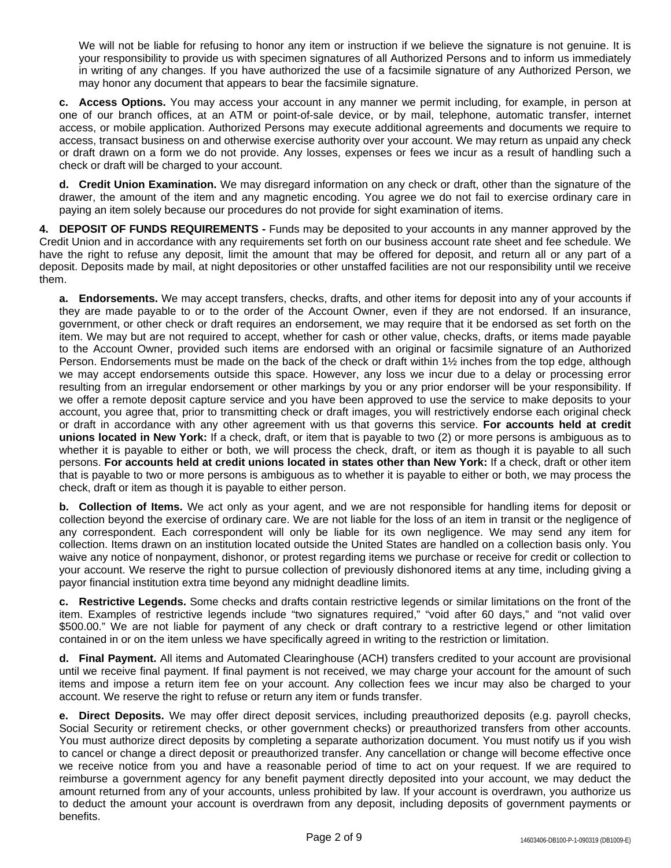We will not be liable for refusing to honor any item or instruction if we believe the signature is not genuine. It is your responsibility to provide us with specimen signatures of all Authorized Persons and to inform us immediately in writing of any changes. If you have authorized the use of a facsimile signature of any Authorized Person, we may honor any document that appears to bear the facsimile signature.

**c. Access Options.** You may access your account in any manner we permit including, for example, in person at one of our branch offices, at an ATM or point-of-sale device, or by mail, telephone, automatic transfer, internet access, or mobile application. Authorized Persons may execute additional agreements and documents we require to access, transact business on and otherwise exercise authority over your account. We may return as unpaid any check or draft drawn on a form we do not provide. Any losses, expenses or fees we incur as a result of handling such a check or draft will be charged to your account.

**d. Credit Union Examination.** We may disregard information on any check or draft, other than the signature of the drawer, the amount of the item and any magnetic encoding. You agree we do not fail to exercise ordinary care in paying an item solely because our procedures do not provide for sight examination of items.

**4. DEPOSIT OF FUNDS REQUIREMENTS -** Funds may be deposited to your accounts in any manner approved by the Credit Union and in accordance with any requirements set forth on our business account rate sheet and fee schedule. We have the right to refuse any deposit, limit the amount that may be offered for deposit, and return all or any part of a deposit. Deposits made by mail, at night depositories or other unstaffed facilities are not our responsibility until we receive them.

**a. Endorsements.** We may accept transfers, checks, drafts, and other items for deposit into any of your accounts if they are made payable to or to the order of the Account Owner, even if they are not endorsed. If an insurance, government, or other check or draft requires an endorsement, we may require that it be endorsed as set forth on the item. We may but are not required to accept, whether for cash or other value, checks, drafts, or items made payable to the Account Owner, provided such items are endorsed with an original or facsimile signature of an Authorized Person. Endorsements must be made on the back of the check or draft within 1½ inches from the top edge, although we may accept endorsements outside this space. However, any loss we incur due to a delay or processing error resulting from an irregular endorsement or other markings by you or any prior endorser will be your responsibility. If we offer a remote deposit capture service and you have been approved to use the service to make deposits to your account, you agree that, prior to transmitting check or draft images, you will restrictively endorse each original check or draft in accordance with any other agreement with us that governs this service. **For accounts held at credit unions located in New York:** If a check, draft, or item that is payable to two (2) or more persons is ambiguous as to whether it is payable to either or both, we will process the check, draft, or item as though it is payable to all such persons. **For accounts held at credit unions located in states other than New York:** If a check, draft or other item that is payable to two or more persons is ambiguous as to whether it is payable to either or both, we may process the check, draft or item as though it is payable to either person.

**b. Collection of Items.** We act only as your agent, and we are not responsible for handling items for deposit or collection beyond the exercise of ordinary care. We are not liable for the loss of an item in transit or the negligence of any correspondent. Each correspondent will only be liable for its own negligence. We may send any item for collection. Items drawn on an institution located outside the United States are handled on a collection basis only. You waive any notice of nonpayment, dishonor, or protest regarding items we purchase or receive for credit or collection to your account. We reserve the right to pursue collection of previously dishonored items at any time, including giving a payor financial institution extra time beyond any midnight deadline limits.

**c. Restrictive Legends.** Some checks and drafts contain restrictive legends or similar limitations on the front of the item. Examples of restrictive legends include "two signatures required," "void after 60 days," and "not valid over \$500.00." We are not liable for payment of any check or draft contrary to a restrictive legend or other limitation contained in or on the item unless we have specifically agreed in writing to the restriction or limitation.

**d. Final Payment.** All items and Automated Clearinghouse (ACH) transfers credited to your account are provisional until we receive final payment. If final payment is not received, we may charge your account for the amount of such items and impose a return item fee on your account. Any collection fees we incur may also be charged to your account. We reserve the right to refuse or return any item or funds transfer.

**e. Direct Deposits.** We may offer direct deposit services, including preauthorized deposits (e.g. payroll checks, Social Security or retirement checks, or other government checks) or preauthorized transfers from other accounts. You must authorize direct deposits by completing a separate authorization document. You must notify us if you wish to cancel or change a direct deposit or preauthorized transfer. Any cancellation or change will become effective once we receive notice from you and have a reasonable period of time to act on your request. If we are required to reimburse a government agency for any benefit payment directly deposited into your account, we may deduct the amount returned from any of your accounts, unless prohibited by law. If your account is overdrawn, you authorize us to deduct the amount your account is overdrawn from any deposit, including deposits of government payments or benefits.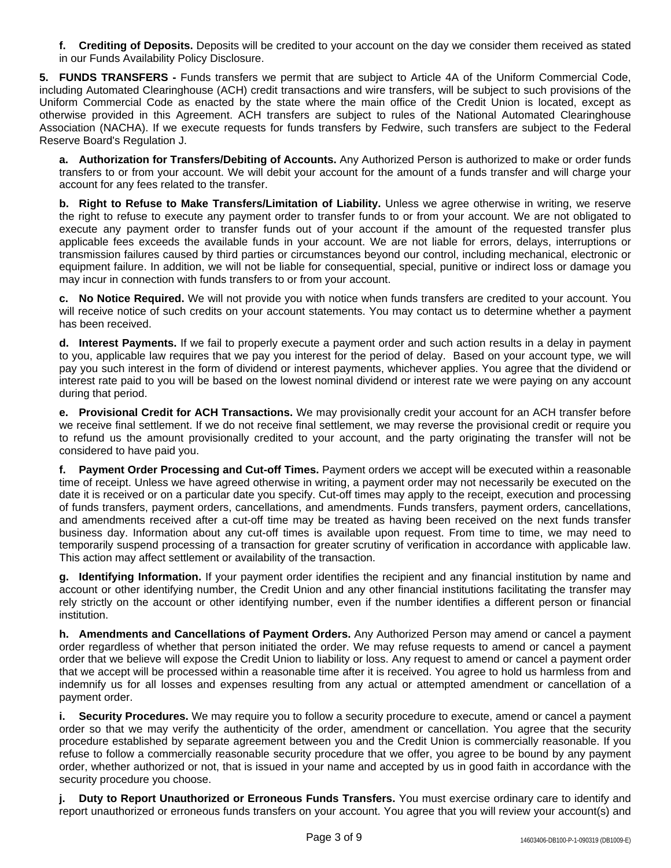**f. Crediting of Deposits.** Deposits will be credited to your account on the day we consider them received as stated in our Funds Availability Policy Disclosure.

**5. FUNDS TRANSFERS -** Funds transfers we permit that are subject to Article 4A of the Uniform Commercial Code, including Automated Clearinghouse (ACH) credit transactions and wire transfers, will be subject to such provisions of the Uniform Commercial Code as enacted by the state where the main office of the Credit Union is located, except as otherwise provided in this Agreement. ACH transfers are subject to rules of the National Automated Clearinghouse Association (NACHA). If we execute requests for funds transfers by Fedwire, such transfers are subject to the Federal Reserve Board's Regulation J.

**a. Authorization for Transfers/Debiting of Accounts.** Any Authorized Person is authorized to make or order funds transfers to or from your account. We will debit your account for the amount of a funds transfer and will charge your account for any fees related to the transfer.

**b. Right to Refuse to Make Transfers/Limitation of Liability.** Unless we agree otherwise in writing, we reserve the right to refuse to execute any payment order to transfer funds to or from your account. We are not obligated to execute any payment order to transfer funds out of your account if the amount of the requested transfer plus applicable fees exceeds the available funds in your account. We are not liable for errors, delays, interruptions or transmission failures caused by third parties or circumstances beyond our control, including mechanical, electronic or equipment failure. In addition, we will not be liable for consequential, special, punitive or indirect loss or damage you may incur in connection with funds transfers to or from your account.

**c. No Notice Required.** We will not provide you with notice when funds transfers are credited to your account. You will receive notice of such credits on your account statements. You may contact us to determine whether a payment has been received.

**d. Interest Payments.** If we fail to properly execute a payment order and such action results in a delay in payment to you, applicable law requires that we pay you interest for the period of delay. Based on your account type, we will pay you such interest in the form of dividend or interest payments, whichever applies. You agree that the dividend or interest rate paid to you will be based on the lowest nominal dividend or interest rate we were paying on any account during that period.

**e. Provisional Credit for ACH Transactions.** We may provisionally credit your account for an ACH transfer before we receive final settlement. If we do not receive final settlement, we may reverse the provisional credit or require you to refund us the amount provisionally credited to your account, and the party originating the transfer will not be considered to have paid you.

**f. Payment Order Processing and Cut-off Times.** Payment orders we accept will be executed within a reasonable time of receipt. Unless we have agreed otherwise in writing, a payment order may not necessarily be executed on the date it is received or on a particular date you specify. Cut-off times may apply to the receipt, execution and processing of funds transfers, payment orders, cancellations, and amendments. Funds transfers, payment orders, cancellations, and amendments received after a cut-off time may be treated as having been received on the next funds transfer business day. Information about any cut-off times is available upon request. From time to time, we may need to temporarily suspend processing of a transaction for greater scrutiny of verification in accordance with applicable law. This action may affect settlement or availability of the transaction.

**g. Identifying Information.** If your payment order identifies the recipient and any financial institution by name and account or other identifying number, the Credit Union and any other financial institutions facilitating the transfer may rely strictly on the account or other identifying number, even if the number identifies a different person or financial institution.

**h. Amendments and Cancellations of Payment Orders.** Any Authorized Person may amend or cancel a payment order regardless of whether that person initiated the order. We may refuse requests to amend or cancel a payment order that we believe will expose the Credit Union to liability or loss. Any request to amend or cancel a payment order that we accept will be processed within a reasonable time after it is received. You agree to hold us harmless from and indemnify us for all losses and expenses resulting from any actual or attempted amendment or cancellation of a payment order.

**i. Security Procedures.** We may require you to follow a security procedure to execute, amend or cancel a payment order so that we may verify the authenticity of the order, amendment or cancellation. You agree that the security procedure established by separate agreement between you and the Credit Union is commercially reasonable. If you refuse to follow a commercially reasonable security procedure that we offer, you agree to be bound by any payment order, whether authorized or not, that is issued in your name and accepted by us in good faith in accordance with the security procedure you choose.

**j. Duty to Report Unauthorized or Erroneous Funds Transfers.** You must exercise ordinary care to identify and report unauthorized or erroneous funds transfers on your account. You agree that you will review your account(s) and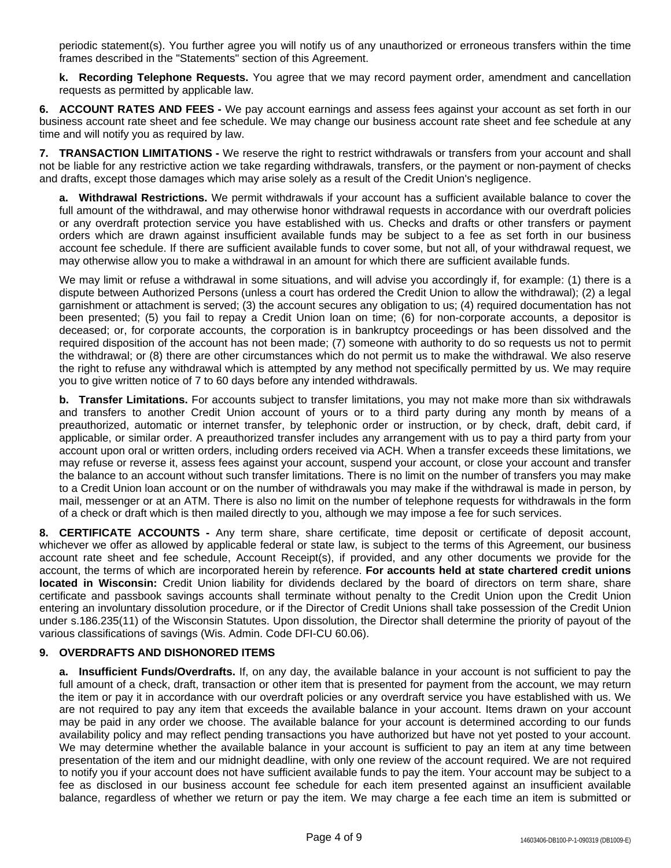periodic statement(s). You further agree you will notify us of any unauthorized or erroneous transfers within the time frames described in the "Statements" section of this Agreement.

**k. Recording Telephone Requests.** You agree that we may record payment order, amendment and cancellation requests as permitted by applicable law.

**6. ACCOUNT RATES AND FEES -** We pay account earnings and assess fees against your account as set forth in our business account rate sheet and fee schedule. We may change our business account rate sheet and fee schedule at any time and will notify you as required by law.

**7. TRANSACTION LIMITATIONS -** We reserve the right to restrict withdrawals or transfers from your account and shall not be liable for any restrictive action we take regarding withdrawals, transfers, or the payment or non-payment of checks and drafts, except those damages which may arise solely as a result of the Credit Union's negligence.

**a. Withdrawal Restrictions.** We permit withdrawals if your account has a sufficient available balance to cover the full amount of the withdrawal, and may otherwise honor withdrawal requests in accordance with our overdraft policies or any overdraft protection service you have established with us. Checks and drafts or other transfers or payment orders which are drawn against insufficient available funds may be subject to a fee as set forth in our business account fee schedule. If there are sufficient available funds to cover some, but not all, of your withdrawal request, we may otherwise allow you to make a withdrawal in an amount for which there are sufficient available funds.

We may limit or refuse a withdrawal in some situations, and will advise you accordingly if, for example: (1) there is a dispute between Authorized Persons (unless a court has ordered the Credit Union to allow the withdrawal); (2) a legal garnishment or attachment is served; (3) the account secures any obligation to us; (4) required documentation has not been presented; (5) you fail to repay a Credit Union loan on time; (6) for non-corporate accounts, a depositor is deceased; or, for corporate accounts, the corporation is in bankruptcy proceedings or has been dissolved and the required disposition of the account has not been made; (7) someone with authority to do so requests us not to permit the withdrawal; or (8) there are other circumstances which do not permit us to make the withdrawal. We also reserve the right to refuse any withdrawal which is attempted by any method not specifically permitted by us. We may require you to give written notice of 7 to 60 days before any intended withdrawals.

**b. Transfer Limitations.** For accounts subject to transfer limitations, you may not make more than six withdrawals and transfers to another Credit Union account of yours or to a third party during any month by means of a preauthorized, automatic or internet transfer, by telephonic order or instruction, or by check, draft, debit card, if applicable, or similar order. A preauthorized transfer includes any arrangement with us to pay a third party from your account upon oral or written orders, including orders received via ACH. When a transfer exceeds these limitations, we may refuse or reverse it, assess fees against your account, suspend your account, or close your account and transfer the balance to an account without such transfer limitations. There is no limit on the number of transfers you may make to a Credit Union loan account or on the number of withdrawals you may make if the withdrawal is made in person, by mail, messenger or at an ATM. There is also no limit on the number of telephone requests for withdrawals in the form of a check or draft which is then mailed directly to you, although we may impose a fee for such services.

**8. CERTIFICATE ACCOUNTS -** Any term share, share certificate, time deposit or certificate of deposit account, whichever we offer as allowed by applicable federal or state law, is subject to the terms of this Agreement, our business account rate sheet and fee schedule, Account Receipt(s), if provided, and any other documents we provide for the account, the terms of which are incorporated herein by reference. **For accounts held at state chartered credit unions located in Wisconsin:** Credit Union liability for dividends declared by the board of directors on term share, share certificate and passbook savings accounts shall terminate without penalty to the Credit Union upon the Credit Union entering an involuntary dissolution procedure, or if the Director of Credit Unions shall take possession of the Credit Union under s.186.235(11) of the Wisconsin Statutes. Upon dissolution, the Director shall determine the priority of payout of the various classifications of savings (Wis. Admin. Code DFI-CU 60.06).

## **9. OVERDRAFTS AND DISHONORED ITEMS**

**a. Insufficient Funds/Overdrafts.** If, on any day, the available balance in your account is not sufficient to pay the full amount of a check, draft, transaction or other item that is presented for payment from the account, we may return the item or pay it in accordance with our overdraft policies or any overdraft service you have established with us. We are not required to pay any item that exceeds the available balance in your account. Items drawn on your account may be paid in any order we choose. The available balance for your account is determined according to our funds availability policy and may reflect pending transactions you have authorized but have not yet posted to your account. We may determine whether the available balance in your account is sufficient to pay an item at any time between presentation of the item and our midnight deadline, with only one review of the account required. We are not required to notify you if your account does not have sufficient available funds to pay the item. Your account may be subject to a fee as disclosed in our business account fee schedule for each item presented against an insufficient available balance, regardless of whether we return or pay the item. We may charge a fee each time an item is submitted or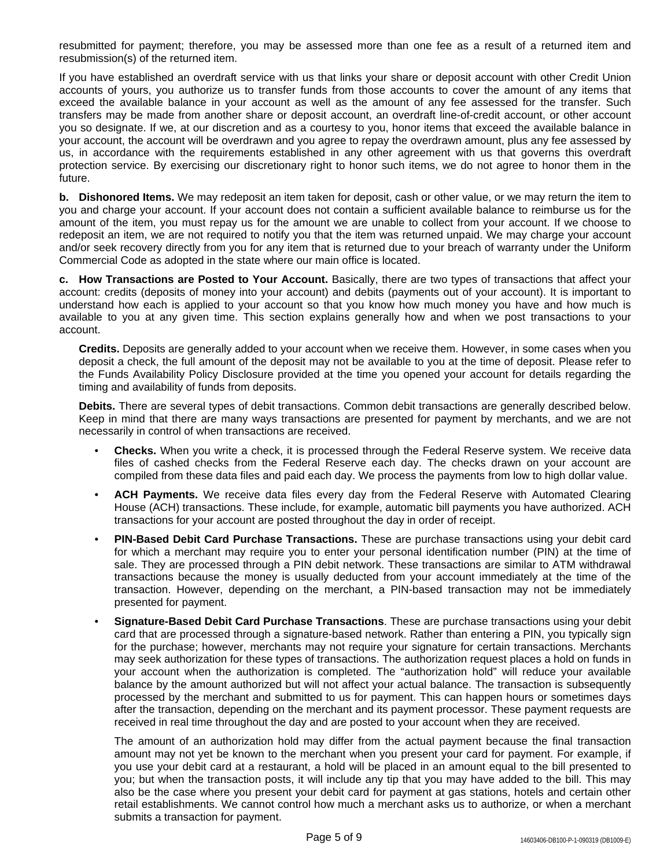resubmitted for payment; therefore, you may be assessed more than one fee as a result of a returned item and resubmission(s) of the returned item.

If you have established an overdraft service with us that links your share or deposit account with other Credit Union accounts of yours, you authorize us to transfer funds from those accounts to cover the amount of any items that exceed the available balance in your account as well as the amount of any fee assessed for the transfer. Such transfers may be made from another share or deposit account, an overdraft line-of-credit account, or other account you so designate. If we, at our discretion and as a courtesy to you, honor items that exceed the available balance in your account, the account will be overdrawn and you agree to repay the overdrawn amount, plus any fee assessed by us, in accordance with the requirements established in any other agreement with us that governs this overdraft protection service. By exercising our discretionary right to honor such items, we do not agree to honor them in the future.

**b. Dishonored Items.** We may redeposit an item taken for deposit, cash or other value, or we may return the item to you and charge your account. If your account does not contain a sufficient available balance to reimburse us for the amount of the item, you must repay us for the amount we are unable to collect from your account. If we choose to redeposit an item, we are not required to notify you that the item was returned unpaid. We may charge your account and/or seek recovery directly from you for any item that is returned due to your breach of warranty under the Uniform Commercial Code as adopted in the state where our main office is located.

**c. How Transactions are Posted to Your Account.** Basically, there are two types of transactions that affect your account: credits (deposits of money into your account) and debits (payments out of your account). It is important to understand how each is applied to your account so that you know how much money you have and how much is available to you at any given time. This section explains generally how and when we post transactions to your account.

**Credits.** Deposits are generally added to your account when we receive them. However, in some cases when you deposit a check, the full amount of the deposit may not be available to you at the time of deposit. Please refer to the Funds Availability Policy Disclosure provided at the time you opened your account for details regarding the timing and availability of funds from deposits.

**Debits.** There are several types of debit transactions. Common debit transactions are generally described below. Keep in mind that there are many ways transactions are presented for payment by merchants, and we are not necessarily in control of when transactions are received.

- **Checks.** When you write a check, it is processed through the Federal Reserve system. We receive data files of cashed checks from the Federal Reserve each day. The checks drawn on your account are compiled from these data files and paid each day. We process the payments from low to high dollar value.
- **ACH Payments.** We receive data files every day from the Federal Reserve with Automated Clearing House (ACH) transactions. These include, for example, automatic bill payments you have authorized. ACH transactions for your account are posted throughout the day in order of receipt.
- **PIN-Based Debit Card Purchase Transactions.** These are purchase transactions using your debit card for which a merchant may require you to enter your personal identification number (PIN) at the time of sale. They are processed through a PIN debit network. These transactions are similar to ATM withdrawal transactions because the money is usually deducted from your account immediately at the time of the transaction. However, depending on the merchant, a PIN-based transaction may not be immediately presented for payment.
- **Signature-Based Debit Card Purchase Transactions**. These are purchase transactions using your debit card that are processed through a signature-based network. Rather than entering a PIN, you typically sign for the purchase; however, merchants may not require your signature for certain transactions. Merchants may seek authorization for these types of transactions. The authorization request places a hold on funds in your account when the authorization is completed. The "authorization hold" will reduce your available balance by the amount authorized but will not affect your actual balance. The transaction is subsequently processed by the merchant and submitted to us for payment. This can happen hours or sometimes days after the transaction, depending on the merchant and its payment processor. These payment requests are received in real time throughout the day and are posted to your account when they are received.

The amount of an authorization hold may differ from the actual payment because the final transaction amount may not yet be known to the merchant when you present your card for payment. For example, if you use your debit card at a restaurant, a hold will be placed in an amount equal to the bill presented to you; but when the transaction posts, it will include any tip that you may have added to the bill. This may also be the case where you present your debit card for payment at gas stations, hotels and certain other retail establishments. We cannot control how much a merchant asks us to authorize, or when a merchant submits a transaction for payment.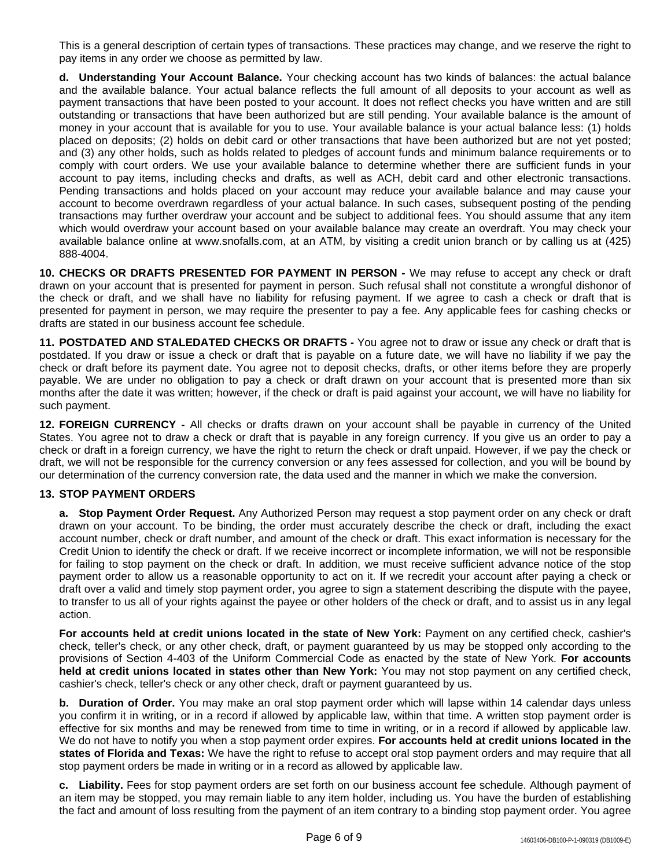This is a general description of certain types of transactions. These practices may change, and we reserve the right to pay items in any order we choose as permitted by law.

**d. Understanding Your Account Balance.** Your checking account has two kinds of balances: the actual balance and the available balance. Your actual balance reflects the full amount of all deposits to your account as well as payment transactions that have been posted to your account. It does not reflect checks you have written and are still outstanding or transactions that have been authorized but are still pending. Your available balance is the amount of money in your account that is available for you to use. Your available balance is your actual balance less: (1) holds placed on deposits; (2) holds on debit card or other transactions that have been authorized but are not yet posted; and (3) any other holds, such as holds related to pledges of account funds and minimum balance requirements or to comply with court orders. We use your available balance to determine whether there are sufficient funds in your account to pay items, including checks and drafts, as well as ACH, debit card and other electronic transactions. Pending transactions and holds placed on your account may reduce your available balance and may cause your account to become overdrawn regardless of your actual balance. In such cases, subsequent posting of the pending transactions may further overdraw your account and be subject to additional fees. You should assume that any item which would overdraw your account based on your available balance may create an overdraft. You may check your available balance online at www.snofalls.com, at an ATM, by visiting a credit union branch or by calling us at (425) 888-4004.

**10. CHECKS OR DRAFTS PRESENTED FOR PAYMENT IN PERSON -** We may refuse to accept any check or draft drawn on your account that is presented for payment in person. Such refusal shall not constitute a wrongful dishonor of the check or draft, and we shall have no liability for refusing payment. If we agree to cash a check or draft that is presented for payment in person, we may require the presenter to pay a fee. Any applicable fees for cashing checks or drafts are stated in our business account fee schedule.

**11. POSTDATED AND STALEDATED CHECKS OR DRAFTS -** You agree not to draw or issue any check or draft that is postdated. If you draw or issue a check or draft that is payable on a future date, we will have no liability if we pay the check or draft before its payment date. You agree not to deposit checks, drafts, or other items before they are properly payable. We are under no obligation to pay a check or draft drawn on your account that is presented more than six months after the date it was written; however, if the check or draft is paid against your account, we will have no liability for such payment.

**12. FOREIGN CURRENCY -** All checks or drafts drawn on your account shall be payable in currency of the United States. You agree not to draw a check or draft that is payable in any foreign currency. If you give us an order to pay a check or draft in a foreign currency, we have the right to return the check or draft unpaid. However, if we pay the check or draft, we will not be responsible for the currency conversion or any fees assessed for collection, and you will be bound by our determination of the currency conversion rate, the data used and the manner in which we make the conversion.

## **13. STOP PAYMENT ORDERS**

**a. Stop Payment Order Request.** Any Authorized Person may request a stop payment order on any check or draft drawn on your account. To be binding, the order must accurately describe the check or draft, including the exact account number, check or draft number, and amount of the check or draft. This exact information is necessary for the Credit Union to identify the check or draft. If we receive incorrect or incomplete information, we will not be responsible for failing to stop payment on the check or draft. In addition, we must receive sufficient advance notice of the stop payment order to allow us a reasonable opportunity to act on it. If we recredit your account after paying a check or draft over a valid and timely stop payment order, you agree to sign a statement describing the dispute with the payee, to transfer to us all of your rights against the payee or other holders of the check or draft, and to assist us in any legal action.

**For accounts held at credit unions located in the state of New York:** Payment on any certified check, cashier's check, teller's check, or any other check, draft, or payment guaranteed by us may be stopped only according to the provisions of Section 4-403 of the Uniform Commercial Code as enacted by the state of New York. **For accounts held at credit unions located in states other than New York:** You may not stop payment on any certified check, cashier's check, teller's check or any other check, draft or payment guaranteed by us.

**b. Duration of Order.** You may make an oral stop payment order which will lapse within 14 calendar days unless you confirm it in writing, or in a record if allowed by applicable law, within that time. A written stop payment order is effective for six months and may be renewed from time to time in writing, or in a record if allowed by applicable law. We do not have to notify you when a stop payment order expires. **For accounts held at credit unions located in the states of Florida and Texas:** We have the right to refuse to accept oral stop payment orders and may require that all stop payment orders be made in writing or in a record as allowed by applicable law.

**c. Liability.** Fees for stop payment orders are set forth on our business account fee schedule. Although payment of an item may be stopped, you may remain liable to any item holder, including us. You have the burden of establishing the fact and amount of loss resulting from the payment of an item contrary to a binding stop payment order. You agree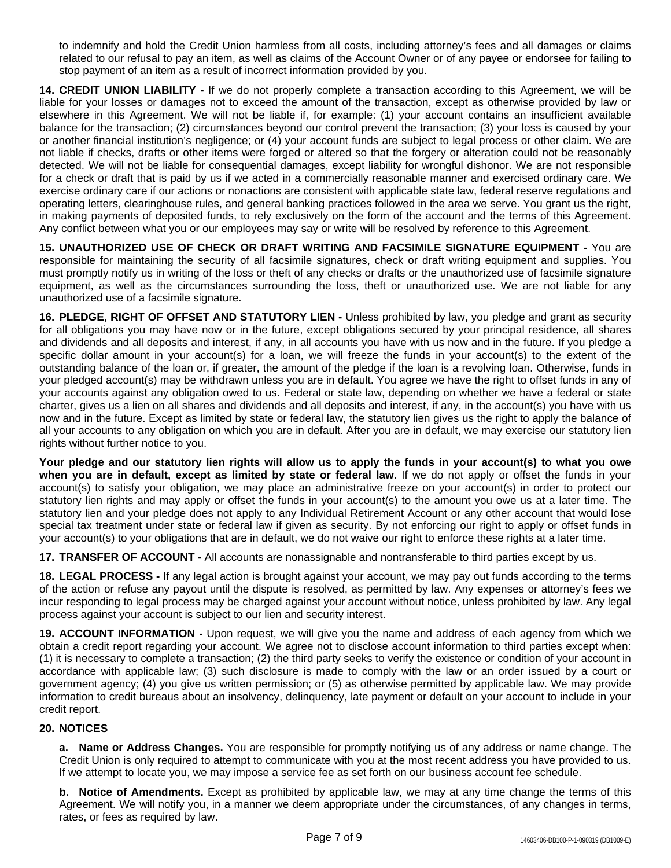to indemnify and hold the Credit Union harmless from all costs, including attorney's fees and all damages or claims related to our refusal to pay an item, as well as claims of the Account Owner or of any payee or endorsee for failing to stop payment of an item as a result of incorrect information provided by you.

**14. CREDIT UNION LIABILITY -** If we do not properly complete a transaction according to this Agreement, we will be liable for your losses or damages not to exceed the amount of the transaction, except as otherwise provided by law or elsewhere in this Agreement. We will not be liable if, for example: (1) your account contains an insufficient available balance for the transaction; (2) circumstances beyond our control prevent the transaction; (3) your loss is caused by your or another financial institution's negligence; or (4) your account funds are subject to legal process or other claim. We are not liable if checks, drafts or other items were forged or altered so that the forgery or alteration could not be reasonably detected. We will not be liable for consequential damages, except liability for wrongful dishonor. We are not responsible for a check or draft that is paid by us if we acted in a commercially reasonable manner and exercised ordinary care. We exercise ordinary care if our actions or nonactions are consistent with applicable state law, federal reserve regulations and operating letters, clearinghouse rules, and general banking practices followed in the area we serve. You grant us the right, in making payments of deposited funds, to rely exclusively on the form of the account and the terms of this Agreement. Any conflict between what you or our employees may say or write will be resolved by reference to this Agreement.

**15. UNAUTHORIZED USE OF CHECK OR DRAFT WRITING AND FACSIMILE SIGNATURE EQUIPMENT -** You are responsible for maintaining the security of all facsimile signatures, check or draft writing equipment and supplies. You must promptly notify us in writing of the loss or theft of any checks or drafts or the unauthorized use of facsimile signature equipment, as well as the circumstances surrounding the loss, theft or unauthorized use. We are not liable for any unauthorized use of a facsimile signature.

**16. PLEDGE, RIGHT OF OFFSET AND STATUTORY LIEN -** Unless prohibited by law, you pledge and grant as security for all obligations you may have now or in the future, except obligations secured by your principal residence, all shares and dividends and all deposits and interest, if any, in all accounts you have with us now and in the future. If you pledge a specific dollar amount in your account(s) for a loan, we will freeze the funds in your account(s) to the extent of the outstanding balance of the loan or, if greater, the amount of the pledge if the loan is a revolving loan. Otherwise, funds in your pledged account(s) may be withdrawn unless you are in default. You agree we have the right to offset funds in any of your accounts against any obligation owed to us. Federal or state law, depending on whether we have a federal or state charter, gives us a lien on all shares and dividends and all deposits and interest, if any, in the account(s) you have with us now and in the future. Except as limited by state or federal law, the statutory lien gives us the right to apply the balance of all your accounts to any obligation on which you are in default. After you are in default, we may exercise our statutory lien rights without further notice to you.

Your pledge and our statutory lien rights will allow us to apply the funds in your account(s) to what you owe **when you are in default, except as limited by state or federal law.** If we do not apply or offset the funds in your account(s) to satisfy your obligation, we may place an administrative freeze on your account(s) in order to protect our statutory lien rights and may apply or offset the funds in your account(s) to the amount you owe us at a later time. The statutory lien and your pledge does not apply to any Individual Retirement Account or any other account that would lose special tax treatment under state or federal law if given as security. By not enforcing our right to apply or offset funds in your account(s) to your obligations that are in default, we do not waive our right to enforce these rights at a later time.

**17. TRANSFER OF ACCOUNT -** All accounts are nonassignable and nontransferable to third parties except by us.

**18. LEGAL PROCESS -** If any legal action is brought against your account, we may pay out funds according to the terms of the action or refuse any payout until the dispute is resolved, as permitted by law. Any expenses or attorney's fees we incur responding to legal process may be charged against your account without notice, unless prohibited by law. Any legal process against your account is subject to our lien and security interest.

**19. ACCOUNT INFORMATION -** Upon request, we will give you the name and address of each agency from which we obtain a credit report regarding your account. We agree not to disclose account information to third parties except when: (1) it is necessary to complete a transaction; (2) the third party seeks to verify the existence or condition of your account in accordance with applicable law; (3) such disclosure is made to comply with the law or an order issued by a court or government agency; (4) you give us written permission; or (5) as otherwise permitted by applicable law. We may provide information to credit bureaus about an insolvency, delinquency, late payment or default on your account to include in your credit report.

## **20. NOTICES**

**a. Name or Address Changes.** You are responsible for promptly notifying us of any address or name change. The Credit Union is only required to attempt to communicate with you at the most recent address you have provided to us. If we attempt to locate you, we may impose a service fee as set forth on our business account fee schedule.

**b. Notice of Amendments.** Except as prohibited by applicable law, we may at any time change the terms of this Agreement. We will notify you, in a manner we deem appropriate under the circumstances, of any changes in terms, rates, or fees as required by law.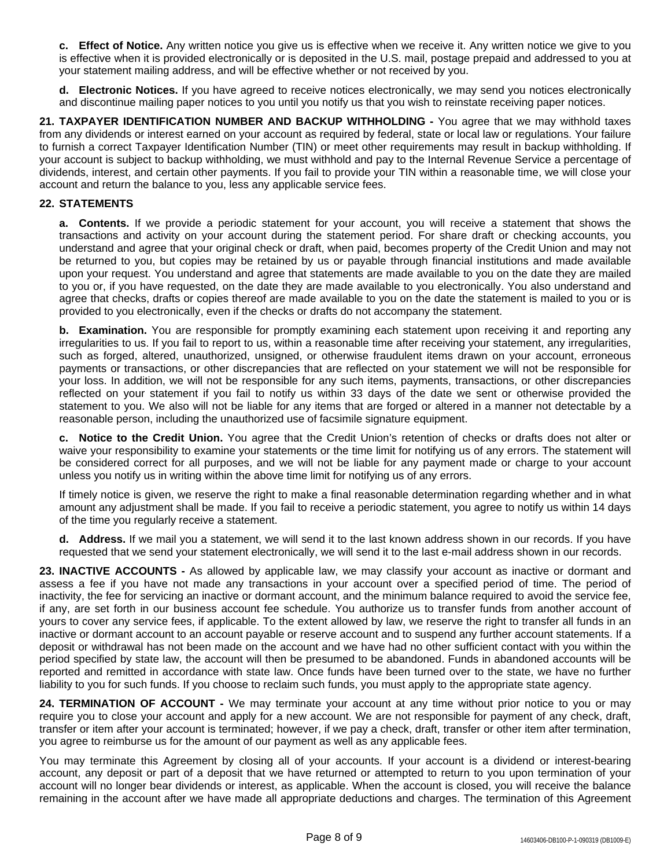**c. Effect of Notice.** Any written notice you give us is effective when we receive it. Any written notice we give to you is effective when it is provided electronically or is deposited in the U.S. mail, postage prepaid and addressed to you at your statement mailing address, and will be effective whether or not received by you.

**d. Electronic Notices.** If you have agreed to receive notices electronically, we may send you notices electronically and discontinue mailing paper notices to you until you notify us that you wish to reinstate receiving paper notices.

**21. TAXPAYER IDENTIFICATION NUMBER AND BACKUP WITHHOLDING -** You agree that we may withhold taxes from any dividends or interest earned on your account as required by federal, state or local law or regulations. Your failure to furnish a correct Taxpayer Identification Number (TIN) or meet other requirements may result in backup withholding. If your account is subject to backup withholding, we must withhold and pay to the Internal Revenue Service a percentage of dividends, interest, and certain other payments. If you fail to provide your TIN within a reasonable time, we will close your account and return the balance to you, less any applicable service fees.

### **22. STATEMENTS**

**a. Contents.** If we provide a periodic statement for your account, you will receive a statement that shows the transactions and activity on your account during the statement period. For share draft or checking accounts, you understand and agree that your original check or draft, when paid, becomes property of the Credit Union and may not be returned to you, but copies may be retained by us or payable through financial institutions and made available upon your request. You understand and agree that statements are made available to you on the date they are mailed to you or, if you have requested, on the date they are made available to you electronically. You also understand and agree that checks, drafts or copies thereof are made available to you on the date the statement is mailed to you or is provided to you electronically, even if the checks or drafts do not accompany the statement.

**b. Examination.** You are responsible for promptly examining each statement upon receiving it and reporting any irregularities to us. If you fail to report to us, within a reasonable time after receiving your statement, any irregularities, such as forged, altered, unauthorized, unsigned, or otherwise fraudulent items drawn on your account, erroneous payments or transactions, or other discrepancies that are reflected on your statement we will not be responsible for your loss. In addition, we will not be responsible for any such items, payments, transactions, or other discrepancies reflected on your statement if you fail to notify us within 33 days of the date we sent or otherwise provided the statement to you. We also will not be liable for any items that are forged or altered in a manner not detectable by a reasonable person, including the unauthorized use of facsimile signature equipment.

**c. Notice to the Credit Union.** You agree that the Credit Union's retention of checks or drafts does not alter or waive your responsibility to examine your statements or the time limit for notifying us of any errors. The statement will be considered correct for all purposes, and we will not be liable for any payment made or charge to your account unless you notify us in writing within the above time limit for notifying us of any errors.

If timely notice is given, we reserve the right to make a final reasonable determination regarding whether and in what amount any adjustment shall be made. If you fail to receive a periodic statement, you agree to notify us within 14 days of the time you regularly receive a statement.

**d. Address.** If we mail you a statement, we will send it to the last known address shown in our records. If you have requested that we send your statement electronically, we will send it to the last e-mail address shown in our records.

**23. INACTIVE ACCOUNTS -** As allowed by applicable law, we may classify your account as inactive or dormant and assess a fee if you have not made any transactions in your account over a specified period of time. The period of inactivity, the fee for servicing an inactive or dormant account, and the minimum balance required to avoid the service fee, if any, are set forth in our business account fee schedule. You authorize us to transfer funds from another account of yours to cover any service fees, if applicable. To the extent allowed by law, we reserve the right to transfer all funds in an inactive or dormant account to an account payable or reserve account and to suspend any further account statements. If a deposit or withdrawal has not been made on the account and we have had no other sufficient contact with you within the period specified by state law, the account will then be presumed to be abandoned. Funds in abandoned accounts will be reported and remitted in accordance with state law. Once funds have been turned over to the state, we have no further liability to you for such funds. If you choose to reclaim such funds, you must apply to the appropriate state agency.

**24. TERMINATION OF ACCOUNT -** We may terminate your account at any time without prior notice to you or may require you to close your account and apply for a new account. We are not responsible for payment of any check, draft, transfer or item after your account is terminated; however, if we pay a check, draft, transfer or other item after termination, you agree to reimburse us for the amount of our payment as well as any applicable fees.

You may terminate this Agreement by closing all of your accounts. If your account is a dividend or interest-bearing account, any deposit or part of a deposit that we have returned or attempted to return to you upon termination of your account will no longer bear dividends or interest, as applicable. When the account is closed, you will receive the balance remaining in the account after we have made all appropriate deductions and charges. The termination of this Agreement